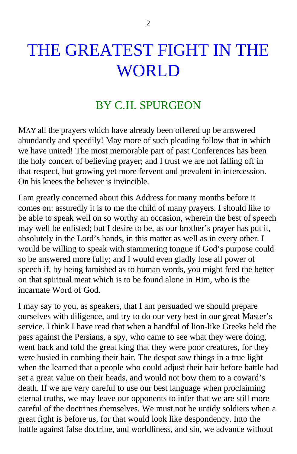## THE GREATEST FIGHT IN THE WORLD

## BY C.H. SPURGEON

MAY all the prayers which have already been offered up be answered abundantly and speedily! May more of such pleading follow that in which we have united! The most memorable part of past Conferences has been the holy concert of believing prayer; and I trust we are not falling off in that respect, but growing yet more fervent and prevalent in intercession. On his knees the believer is invincible.

I am greatly concerned about this Address for many months before it comes on: assuredly it is to me the child of many prayers. I should like to be able to speak well on so worthy an occasion, wherein the best of speech may well be enlisted; but I desire to be, as our brother's prayer has put it, absolutely in the Lord's hands, in this matter as well as in every other. I would be willing to speak with stammering tongue if God's purpose could so be answered more fully; and I would even gladly lose all power of speech if, by being famished as to human words, you might feed the better on that spiritual meat which is to be found alone in Him, who is the incarnate Word of God.

I may say to you, as speakers, that I am persuaded we should prepare ourselves with diligence, and try to do our very best in our great Master's service. I think I have read that when a handful of lion-like Greeks held the pass against the Persians, a spy, who came to see what they were doing, went back and told the great king that they were poor creatures, for they were busied in combing their hair. The despot saw things in a true light when the learned that a people who could adjust their hair before battle had set a great value on their heads, and would not bow them to a coward's death. If we are very careful to use our best language when proclaiming eternal truths, we may leave our opponents to infer that we are still more careful of the doctrines themselves. We must not be untidy soldiers when a great fight is before us, for that would look like despondency. Into the battle against false doctrine, and worldliness, and sin, we advance without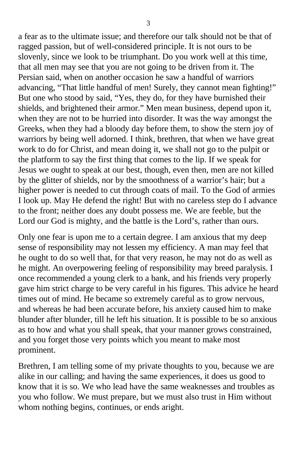a fear as to the ultimate issue; and therefore our talk should not be that of ragged passion, but of well-considered principle. It is not ours to be slovenly, since we look to be triumphant. Do you work well at this time, that all men may see that you are not going to be driven from it. The Persian said, when on another occasion he saw a handful of warriors advancing, "That little handful of men! Surely, they cannot mean fighting!" But one who stood by said, "Yes, they do, for they have burnished their shields, and brightened their armor." Men mean business, depend upon it, when they are not to be hurried into disorder. It was the way amongst the Greeks, when they had a bloody day before them, to show the stern joy of warriors by being well adorned. I think, brethren, that when we have great work to do for Christ, and mean doing it, we shall not go to the pulpit or the platform to say the first thing that comes to the lip. If we speak for Jesus we ought to speak at our best, though, even then, men are not killed by the glitter of shields, nor by the smoothness of a warrior's hair; but a higher power is needed to cut through coats of mail. To the God of armies I look up. May He defend the right! But with no careless step do I advance to the front; neither does any doubt possess me. We are feeble, but the Lord our God is mighty, and the battle is the Lord's, rather than ours.

Only one fear is upon me to a certain degree. I am anxious that my deep sense of responsibility may not lessen my efficiency. A man may feel that he ought to do so well that, for that very reason, he may not do as well as he might. An overpowering feeling of responsibility may breed paralysis. I once recommended a young clerk to a bank, and his friends very properly gave him strict charge to be very careful in his figures. This advice he heard times out of mind. He became so extremely careful as to grow nervous, and whereas he had been accurate before, his anxiety caused him to make blunder after blunder, till he left his situation. It is possible to be so anxious as to how and what you shall speak, that your manner grows constrained, and you forget those very points which you meant to make most prominent.

Brethren, I am telling some of my private thoughts to you, because we are alike in our calling; and having the same experiences, it does us good to know that it is so. We who lead have the same weaknesses and troubles as you who follow. We must prepare, but we must also trust in Him without whom nothing begins, continues, or ends aright.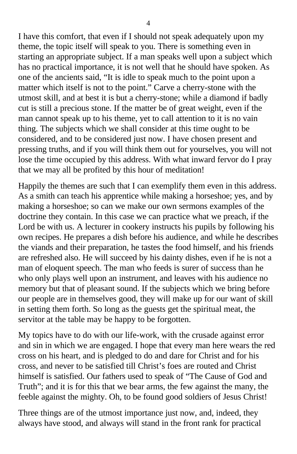I have this comfort, that even if I should not speak adequately upon my theme, the topic itself will speak to you. There is something even in starting an appropriate subject. If a man speaks well upon a subject which has no practical importance, it is not well that he should have spoken. As one of the ancients said, "It is idle to speak much to the point upon a matter which itself is not to the point." Carve a cherry-stone with the utmost skill, and at best it is but a cherry-stone; while a diamond if badly cut is still a precious stone. If the matter be of great weight, even if the man cannot speak up to his theme, yet to call attention to it is no vain thing. The subjects which we shall consider at this time ought to be considered, and to be considered just now. I have chosen present and pressing truths, and if you will think them out for yourselves, you will not lose the time occupied by this address. With what inward fervor do I pray that we may all be profited by this hour of meditation!

Happily the themes are such that I can exemplify them even in this address. As a smith can teach his apprentice while making a horseshoe; yes, and by making a horseshoe; so can we make our own sermons examples of the doctrine they contain. In this case we can practice what we preach, if the Lord be with us. A lecturer in cookery instructs his pupils by following his own recipes. He prepares a dish before his audience, and while he describes the viands and their preparation, he tastes the food himself, and his friends are refreshed also. He will succeed by his dainty dishes, even if he is not a man of eloquent speech. The man who feeds is surer of success than he who only plays well upon an instrument, and leaves with his audience no memory but that of pleasant sound. If the subjects which we bring before our people are in themselves good, they will make up for our want of skill in setting them forth. So long as the guests get the spiritual meat, the servitor at the table may be happy to be forgotten.

My topics have to do with our life-work, with the crusade against error and sin in which we are engaged. I hope that every man here wears the red cross on his heart, and is pledged to do and dare for Christ and for his cross, and never to be satisfied till Christ's foes are routed and Christ himself is satisfied. Our fathers used to speak of "The Cause of God and Truth"; and it is for this that we bear arms, the few against the many, the feeble against the mighty. Oh, to be found good soldiers of Jesus Christ!

Three things are of the utmost importance just now, and, indeed, they always have stood, and always will stand in the front rank for practical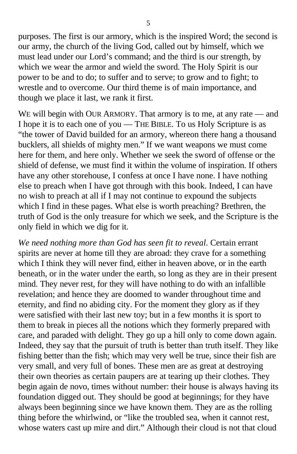purposes. The first is our armory, which is the inspired Word; the second is our army, the church of the living God, called out by himself, which we must lead under our Lord's command; and the third is our strength, by which we wear the armor and wield the sword. The Holy Spirit is our power to be and to do; to suffer and to serve; to grow and to fight; to wrestle and to overcome. Our third theme is of main importance, and though we place it last, we rank it first.

WE will begin with OUR ARMORY. That armory is to me, at any rate — and I hope it is to each one of you — THE BIBLE. To us Holy Scripture is as "the tower of David builded for an armory, whereon there hang a thousand bucklers, all shields of mighty men." If we want weapons we must come here for them, and here only. Whether we seek the sword of offense or the shield of defense, we must find it within the volume of inspiration. If others have any other storehouse, I confess at once I have none. I have nothing else to preach when I have got through with this book. Indeed, I can have no wish to preach at all if I may not continue to expound the subjects which I find in these pages. What else is worth preaching? Brethren, the truth of God is the only treasure for which we seek, and the Scripture is the only field in which we dig for it.

*We need nothing more than God has seen fit to reveal*. Certain errant spirits are never at home till they are abroad: they crave for a something which I think they will never find, either in heaven above, or in the earth beneath, or in the water under the earth, so long as they are in their present mind. They never rest, for they will have nothing to do with an infallible revelation; and hence they are doomed to wander throughout time and eternity, and find no abiding city. For the moment they glory as if they were satisfied with their last new toy; but in a few months it is sport to them to break in pieces all the notions which they formerly prepared with care, and paraded with delight. They go up a hill only to come down again. Indeed, they say that the pursuit of truth is better than truth itself. They like fishing better than the fish; which may very well be true, since their fish are very small, and very full of bones. These men are as great at destroying their own theories as certain paupers are at tearing up their clothes. They begin again de novo, times without number: their house is always having its foundation digged out. They should be good at beginnings; for they have always been beginning since we have known them. They are as the rolling thing before the whirlwind, or "like the troubled sea, when it cannot rest, whose waters cast up mire and dirt." Although their cloud is not that cloud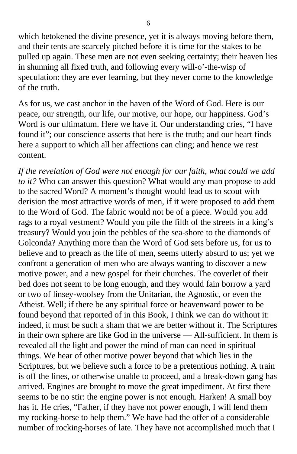which betokened the divine presence, yet it is always moving before them, and their tents are scarcely pitched before it is time for the stakes to be pulled up again. These men are not even seeking certainty; their heaven lies in shunning all fixed truth, and following every will-o'-the-wisp of speculation: they are ever learning, but they never come to the knowledge of the truth.

As for us, we cast anchor in the haven of the Word of God. Here is our peace, our strength, our life, our motive, our hope, our happiness. God's Word is our ultimatum. Here we have it. Our understanding cries, "I have found it"; our conscience asserts that here is the truth; and our heart finds here a support to which all her affections can cling; and hence we rest content.

*If the revelation of God were not enough for our faith, what could we add to it?* Who can answer this question? What would any man propose to add to the sacred Word? A moment's thought would lead us to scout with derision the most attractive words of men, if it were proposed to add them to the Word of God. The fabric would not be of a piece. Would you add rags to a royal vestment? Would you pile the filth of the streets in a king's treasury? Would you join the pebbles of the sea-shore to the diamonds of Golconda? Anything more than the Word of God sets before us, for us to believe and to preach as the life of men, seems utterly absurd to us; yet we confront a generation of men who are always wanting to discover a new motive power, and a new gospel for their churches. The coverlet of their bed does not seem to be long enough, and they would fain borrow a yard or two of linsey-woolsey from the Unitarian, the Agnostic, or even the Atheist. Well; if there be any spiritual force or heavenward power to be found beyond that reported of in this Book, I think we can do without it: indeed, it must be such a sham that we are better without it. The Scriptures in their own sphere are like God in the universe — All-sufficient. In them is revealed all the light and power the mind of man can need in spiritual things. We hear of other motive power beyond that which lies in the Scriptures, but we believe such a force to be a pretentious nothing. A train is off the lines, or otherwise unable to proceed, and a break-down gang has arrived. Engines are brought to move the great impediment. At first there seems to be no stir: the engine power is not enough. Harken! A small boy has it. He cries, "Father, if they have not power enough, I will lend them my rocking-horse to help them." We have had the offer of a considerable number of rocking-horses of late. They have not accomplished much that I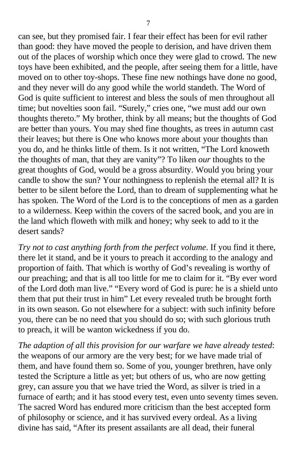can see, but they promised fair. I fear their effect has been for evil rather than good: they have moved the people to derision, and have driven them out of the places of worship which once they were glad to crowd. The new toys have been exhibited, and the people, after seeing them for a little, have moved on to other toy-shops. These fine new nothings have done no good, and they never will do any good while the world standeth. The Word of God is quite sufficient to interest and bless the souls of men throughout all time; but novelties soon fail. "Surely," cries one, "we must add our own thoughts thereto." My brother, think by all means; but the thoughts of God are better than yours. You may shed fine thoughts, as trees in autumn cast their leaves; but there is One who knows more about your thoughts than you do, and he thinks little of them. Is it not written, "The Lord knoweth the thoughts of man, that they are vanity"? To liken *our* thoughts to the great thoughts of God, would be a gross absurdity. Would you bring your candle to show the sun? Your nothingness to replenish the eternal all? It is better to be silent before the Lord, than to dream of supplementing what he has spoken. The Word of the Lord is to the conceptions of men as a garden to a wilderness. Keep within the covers of the sacred book, and you are in the land which floweth with milk and honey; why seek to add to it the desert sands?

*Try not to cast anything forth from the perfect volume*. If you find it there, there let it stand, and be it yours to preach it according to the analogy and proportion of faith. That which is worthy of God's revealing is worthy of our preaching; and that is all too little for me to claim for it. "By ever word of the Lord doth man live." "Every word of God is pure: he is a shield unto them that put their trust in him" Let every revealed truth be brought forth in its own season. Go not elsewhere for a subject: with such infinity before you, there can be no need that you should do so; with such glorious truth to preach, it will be wanton wickedness if you do.

*The adaption of all this provision for our warfare we have already tested*: the weapons of our armory are the very best; for we have made trial of them, and have found them so. Some of you, younger brethren, have only tested the Scripture a little as yet; but others of us, who are now getting grey, can assure you that we have tried the Word, as silver is tried in a furnace of earth; and it has stood every test, even unto seventy times seven. The sacred Word has endured more criticism than the best accepted form of philosophy or science, and it has survived every ordeal. As a living divine has said, "After its present assailants are all dead, their funeral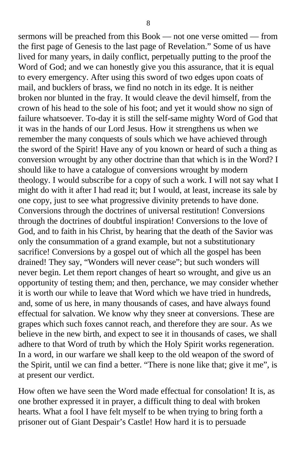sermons will be preached from this Book — not one verse omitted — from the first page of Genesis to the last page of Revelation." Some of us have lived for many years, in daily conflict, perpetually putting to the proof the Word of God; and we can honestly give you this assurance, that it is equal to every emergency. After using this sword of two edges upon coats of mail, and bucklers of brass, we find no notch in its edge. It is neither broken nor blunted in the fray. It would cleave the devil himself, from the crown of his head to the sole of his foot; and yet it would show no sign of failure whatsoever. To-day it is still the self-same mighty Word of God that it was in the hands of our Lord Jesus. How it strengthens us when we remember the many conquests of souls which we have achieved through the sword of the Spirit! Have any of you known or heard of such a thing as conversion wrought by any other doctrine than that which is in the Word? I should like to have a catalogue of conversions wrought by modern theology. I would subscribe for a copy of such a work. I will not say what I might do with it after I had read it; but I would, at least, increase its sale by one copy, just to see what progressive divinity pretends to have done. Conversions through the doctrines of universal restitution! Conversions through the doctrines of doubtful inspiration! Conversions to the love of God, and to faith in his Christ, by hearing that the death of the Savior was only the consummation of a grand example, but not a substitutionary sacrifice! Conversions by a gospel out of which all the gospel has been drained! They say, "Wonders will never cease"; but such wonders will never begin. Let them report changes of heart so wrought, and give us an opportunity of testing them; and then, perchance, we may consider whether it is worth our while to leave that Word which we have tried in hundreds, and, some of us here, in many thousands of cases, and have always found effectual for salvation. We know why they sneer at conversions. These are grapes which such foxes cannot reach, and therefore they are sour. As we believe in the new birth, and expect to see it in thousands of cases, we shall adhere to that Word of truth by which the Holy Spirit works regeneration. In a word, in our warfare we shall keep to the old weapon of the sword of the Spirit, until we can find a better. "There is none like that; give it me", is at present our verdict.

How often we have seen the Word made effectual for consolation! It is, as one brother expressed it in prayer, a difficult thing to deal with broken hearts. What a fool I have felt myself to be when trying to bring forth a prisoner out of Giant Despair's Castle! How hard it is to persuade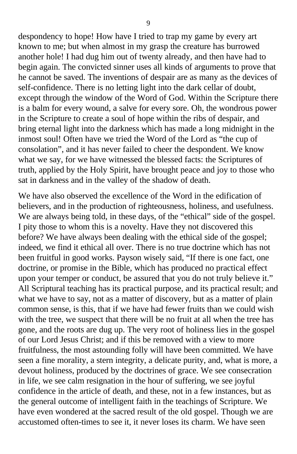despondency to hope! How have I tried to trap my game by every art known to me; but when almost in my grasp the creature has burrowed another hole! I had dug him out of twenty already, and then have had to begin again. The convicted sinner uses all kinds of arguments to prove that he cannot be saved. The inventions of despair are as many as the devices of self-confidence. There is no letting light into the dark cellar of doubt, except through the window of the Word of God. Within the Scripture there is a balm for every wound, a salve for every sore. Oh, the wondrous power in the Scripture to create a soul of hope within the ribs of despair, and bring eternal light into the darkness which has made a long midnight in the inmost soul! Often have we tried the Word of the Lord as "the cup of consolation", and it has never failed to cheer the despondent. We know what we say, for we have witnessed the blessed facts: the Scriptures of truth, applied by the Holy Spirit, have brought peace and joy to those who sat in darkness and in the valley of the shadow of death.

We have also observed the excellence of the Word in the edification of believers, and in the production of righteousness, holiness, and usefulness. We are always being told, in these days, of the "ethical" side of the gospel. I pity those to whom this is a novelty. Have they not discovered this before? We have always been dealing with the ethical side of the gospel; indeed, we find it ethical all over. There is no true doctrine which has not been fruitful in good works. Payson wisely said, "If there is one fact, one doctrine, or promise in the Bible, which has produced no practical effect upon your temper or conduct, be assured that you do not truly believe it." All Scriptural teaching has its practical purpose, and its practical result; and what we have to say, not as a matter of discovery, but as a matter of plain common sense, is this, that if we have had fewer fruits than we could wish with the tree, we suspect that there will be no fruit at all when the tree has gone, and the roots are dug up. The very root of holiness lies in the gospel of our Lord Jesus Christ; and if this be removed with a view to more fruitfulness, the most astounding folly will have been committed. We have seen a fine morality, a stern integrity, a delicate purity, and, what is more, a devout holiness, produced by the doctrines of grace. We see consecration in life, we see calm resignation in the hour of suffering, we see joyful confidence in the article of death, and these, not in a few instances, but as the general outcome of intelligent faith in the teachings of Scripture. We have even wondered at the sacred result of the old gospel. Though we are accustomed often-times to see it, it never loses its charm. We have seen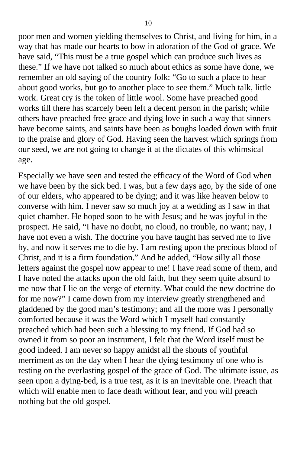poor men and women yielding themselves to Christ, and living for him, in a way that has made our hearts to bow in adoration of the God of grace. We have said, "This must be a true gospel which can produce such lives as these." If we have not talked so much about ethics as some have done, we remember an old saying of the country folk: "Go to such a place to hear about good works, but go to another place to see them." Much talk, little work. Great cry is the token of little wool. Some have preached good works till there has scarcely been left a decent person in the parish; while others have preached free grace and dying love in such a way that sinners have become saints, and saints have been as boughs loaded down with fruit to the praise and glory of God. Having seen the harvest which springs from our seed, we are not going to change it at the dictates of this whimsical age.

Especially we have seen and tested the efficacy of the Word of God when we have been by the sick bed. I was, but a few days ago, by the side of one of our elders, who appeared to be dying; and it was like heaven below to converse with him. I never saw so much joy at a wedding as I saw in that quiet chamber. He hoped soon to be with Jesus; and he was joyful in the prospect. He said, "I have no doubt, no cloud, no trouble, no want; nay, I have not even a wish. The doctrine you have taught has served me to live by, and now it serves me to die by. I am resting upon the precious blood of Christ, and it is a firm foundation." And he added, "How silly all those letters against the gospel now appear to me! I have read some of them, and I have noted the attacks upon the old faith, but they seem quite absurd to me now that I lie on the verge of eternity. What could the new doctrine do for me now?" I came down from my interview greatly strengthened and gladdened by the good man's testimony; and all the more was I personally comforted because it was the Word which I myself had constantly preached which had been such a blessing to my friend. If God had so owned it from so poor an instrument, I felt that the Word itself must be good indeed. I am never so happy amidst all the shouts of youthful merriment as on the day when I hear the dying testimony of one who is resting on the everlasting gospel of the grace of God. The ultimate issue, as seen upon a dying-bed, is a true test, as it is an inevitable one. Preach that which will enable men to face death without fear, and you will preach nothing but the old gospel.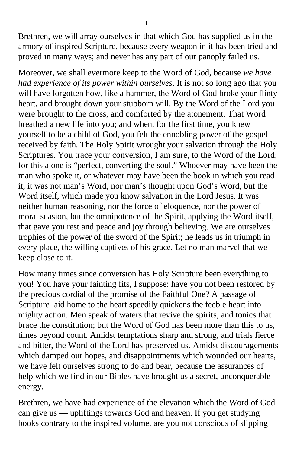Brethren, we will array ourselves in that which God has supplied us in the armory of inspired Scripture, because every weapon in it has been tried and proved in many ways; and never has any part of our panoply failed us.

Moreover, we shall evermore keep to the Word of God, because *we have had experience of its power within ourselves*. It is not so long ago that you will have forgotten how, like a hammer, the Word of God broke your flinty heart, and brought down your stubborn will. By the Word of the Lord you were brought to the cross, and comforted by the atonement. That Word breathed a new life into you; and when, for the first time, you knew yourself to be a child of God, you felt the ennobling power of the gospel received by faith. The Holy Spirit wrought your salvation through the Holy Scriptures. You trace your conversion, I am sure, to the Word of the Lord; for this alone is "perfect, converting the soul." Whoever may have been the man who spoke it, or whatever may have been the book in which you read it, it was not man's Word, nor man's thought upon God's Word, but the Word itself, which made you know salvation in the Lord Jesus. It was neither human reasoning, nor the force of eloquence, nor the power of moral suasion, but the omnipotence of the Spirit, applying the Word itself, that gave you rest and peace and joy through believing. We are ourselves trophies of the power of the sword of the Spirit; he leads us in triumph in every place, the willing captives of his grace. Let no man marvel that we keep close to it.

How many times since conversion has Holy Scripture been everything to you! You have your fainting fits, I suppose: have you not been restored by the precious cordial of the promise of the Faithful One? A passage of Scripture laid home to the heart speedily quickens the feeble heart into mighty action. Men speak of waters that revive the spirits, and tonics that brace the constitution; but the Word of God has been more than this to us, times beyond count. Amidst temptations sharp and strong, and trials fierce and bitter, the Word of the Lord has preserved us. Amidst discouragements which damped our hopes, and disappointments which wounded our hearts, we have felt ourselves strong to do and bear, because the assurances of help which we find in our Bibles have brought us a secret, unconquerable energy.

Brethren, we have had experience of the elevation which the Word of God can give us — upliftings towards God and heaven. If you get studying books contrary to the inspired volume, are you not conscious of slipping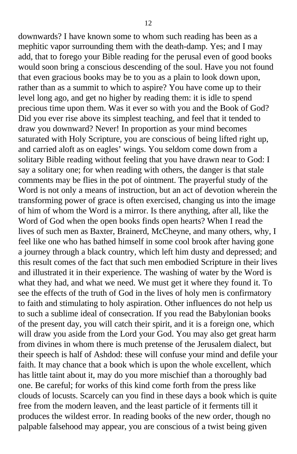downwards? I have known some to whom such reading has been as a mephitic vapor surrounding them with the death-damp. Yes; and I may add, that to forego your Bible reading for the perusal even of good books would soon bring a conscious descending of the soul. Have you not found that even gracious books may be to you as a plain to look down upon, rather than as a summit to which to aspire? You have come up to their level long ago, and get no higher by reading them: it is idle to spend precious time upon them. Was it ever so with you and the Book of God? Did you ever rise above its simplest teaching, and feel that it tended to draw you downward? Never! In proportion as your mind becomes saturated with Holy Scripture, you are conscious of being lifted right up, and carried aloft as on eagles' wings. You seldom come down from a solitary Bible reading without feeling that you have drawn near to God: I say a solitary one; for when reading with others, the danger is that stale comments may be flies in the pot of ointment. The prayerful study of the Word is not only a means of instruction, but an act of devotion wherein the transforming power of grace is often exercised, changing us into the image of him of whom the Word is a mirror. Is there anything, after all, like the Word of God when the open books finds open hearts? When I read the lives of such men as Baxter, Brainerd, McCheyne, and many others, why, I feel like one who has bathed himself in some cool brook after having gone a journey through a black country, which left him dusty and depressed; and this result comes of the fact that such men embodied Scripture in their lives and illustrated it in their experience. The washing of water by the Word is what they had, and what we need. We must get it where they found it. To see the effects of the truth of God in the lives of holy men is confirmatory to faith and stimulating to holy aspiration. Other influences do not help us to such a sublime ideal of consecration. If you read the Babylonian books of the present day, you will catch their spirit, and it is a foreign one, which will draw you aside from the Lord your God. You may also get great harm from divines in whom there is much pretense of the Jerusalem dialect, but their speech is half of Ashdod: these will confuse your mind and defile your faith. It may chance that a book which is upon the whole excellent, which has little taint about it, may do you more mischief than a thoroughly bad one. Be careful; for works of this kind come forth from the press like clouds of locusts. Scarcely can you find in these days a book which is quite free from the modern leaven, and the least particle of it ferments till it produces the wildest error. In reading books of the new order, though no palpable falsehood may appear, you are conscious of a twist being given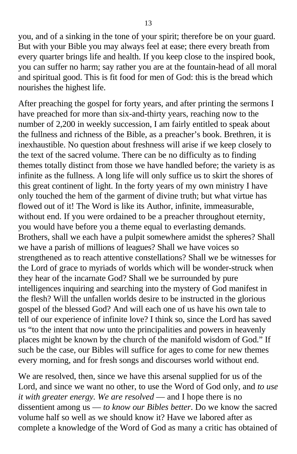you, and of a sinking in the tone of your spirit; therefore be on your guard. But with your Bible you may always feel at ease; there every breath from every quarter brings life and health. If you keep close to the inspired book, you can suffer no harm; say rather you are at the fountain-head of all moral and spiritual good. This is fit food for men of God: this is the bread which nourishes the highest life.

After preaching the gospel for forty years, and after printing the sermons I have preached for more than six-and-thirty years, reaching now to the number of 2,200 in weekly succession, I am fairly entitled to speak about the fullness and richness of the Bible, as a preacher's book. Brethren, it is inexhaustible. No question about freshness will arise if we keep closely to the text of the sacred volume. There can be no difficulty as to finding themes totally distinct from those we have handled before; the variety is as infinite as the fullness. A long life will only suffice us to skirt the shores of this great continent of light. In the forty years of my own ministry I have only touched the hem of the garment of divine truth; but what virtue has flowed out of it! The Word is like its Author, infinite, immeasurable, without end. If you were ordained to be a preacher throughout eternity, you would have before you a theme equal to everlasting demands. Brothers, shall we each have a pulpit somewhere amidst the spheres? Shall we have a parish of millions of leagues? Shall we have voices so strengthened as to reach attentive constellations? Shall we be witnesses for the Lord of grace to myriads of worlds which will be wonder-struck when they hear of the incarnate God? Shall we be surrounded by pure intelligences inquiring and searching into the mystery of God manifest in the flesh? Will the unfallen worlds desire to be instructed in the glorious gospel of the blessed God? And will each one of us have his own tale to tell of our experience of infinite love? I think so, since the Lord has saved us "to the intent that now unto the principalities and powers in heavenly places might be known by the church of the manifold wisdom of God." If such be the case, our Bibles will suffice for ages to come for new themes every morning, and for fresh songs and discourses world without end.

We are resolved, then, since we have this arsenal supplied for us of the Lord, and since we want no other, to use the Word of God only, and *to use it with greater energy. We are resolved* — and I hope there is no dissentient among us — *to know our Bibles better*. Do we know the sacred volume half so well as we should know it? Have we labored after as complete a knowledge of the Word of God as many a critic has obtained of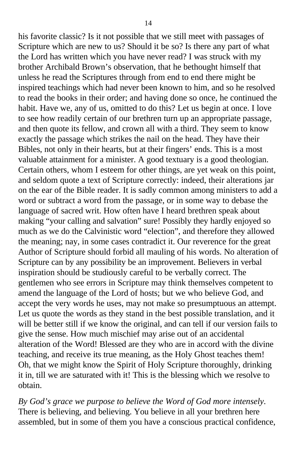his favorite classic? Is it not possible that we still meet with passages of Scripture which are new to us? Should it be so? Is there any part of what the Lord has written which you have never read? I was struck with my brother Archibald Brown's observation, that he bethought himself that unless he read the Scriptures through from end to end there might be inspired teachings which had never been known to him, and so he resolved to read the books in their order; and having done so once, he continued the habit. Have we, any of us, omitted to do this? Let us begin at once. I love to see how readily certain of our brethren turn up an appropriate passage, and then quote its fellow, and crown all with a third. They seem to know exactly the passage which strikes the nail on the head. They have their Bibles, not only in their hearts, but at their fingers' ends. This is a most valuable attainment for a minister. A good textuary is a good theologian. Certain others, whom I esteem for other things, are yet weak on this point, and seldom quote a text of Scripture correctly: indeed, their alterations jar on the ear of the Bible reader. It is sadly common among ministers to add a word or subtract a word from the passage, or in some way to debase the language of sacred writ. How often have I heard brethren speak about making "your calling and salvation" sure! Possibly they hardly enjoyed so much as we do the Calvinistic word "election", and therefore they allowed the meaning; nay, in some cases contradict it. Our reverence for the great Author of Scripture should forbid all mauling of his words. No alteration of Scripture can by any possibility be an improvement. Believers in verbal inspiration should be studiously careful to be verbally correct. The gentlemen who see errors in Scripture may think themselves competent to amend the language of the Lord of hosts; but we who believe God, and accept the very words he uses, may not make so presumptuous an attempt. Let us quote the words as they stand in the best possible translation, and it will be better still if we know the original, and can tell if our version fails to give the sense. How much mischief may arise out of an accidental alteration of the Word! Blessed are they who are in accord with the divine teaching, and receive its true meaning, as the Holy Ghost teaches them! Oh, that we might know the Spirit of Holy Scripture thoroughly, drinking it in, till we are saturated with it! This is the blessing which we resolve to obtain.

*By God's grace we purpose to believe the Word of God more intensely*. There is believing, and believing. You believe in all your brethren here assembled, but in some of them you have a conscious practical confidence,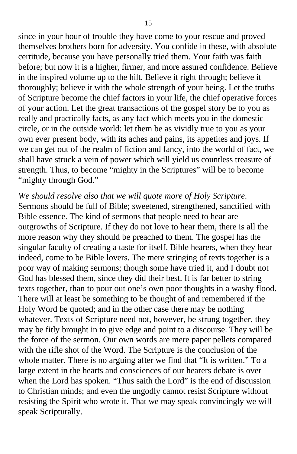since in your hour of trouble they have come to your rescue and proved themselves brothers born for adversity. You confide in these, with absolute certitude, because you have personally tried them. Your faith was faith before; but now it is a higher, firmer, and more assured confidence. Believe in the inspired volume up to the hilt. Believe it right through; believe it thoroughly; believe it with the whole strength of your being. Let the truths of Scripture become the chief factors in your life, the chief operative forces of your action. Let the great transactions of the gospel story be to you as really and practically facts, as any fact which meets you in the domestic circle, or in the outside world: let them be as vividly true to you as your own ever present body, with its aches and pains, its appetites and joys. If we can get out of the realm of fiction and fancy, into the world of fact, we shall have struck a vein of power which will yield us countless treasure of strength. Thus, to become "mighty in the Scriptures" will be to become "mighty through God."

*We should resolve also that we will quote more of Holy Scripture*. Sermons should be full of Bible; sweetened, strengthened, sanctified with Bible essence. The kind of sermons that people need to hear are outgrowths of Scripture. If they do not love to hear them, there is all the more reason why they should be preached to them. The gospel has the singular faculty of creating a taste for itself. Bible hearers, when they hear indeed, come to be Bible lovers. The mere stringing of texts together is a poor way of making sermons; though some have tried it, and I doubt not God has blessed them, since they did their best. It is far better to string texts together, than to pour out one's own poor thoughts in a washy flood. There will at least be something to be thought of and remembered if the Holy Word be quoted; and in the other case there may be nothing whatever. Texts of Scripture need not, however, be strung together, they may be fitly brought in to give edge and point to a discourse. They will be the force of the sermon. Our own words are mere paper pellets compared with the rifle shot of the Word. The Scripture is the conclusion of the whole matter. There is no arguing after we find that "It is written." To a large extent in the hearts and consciences of our hearers debate is over when the Lord has spoken. "Thus saith the Lord" is the end of discussion to Christian minds; and even the ungodly cannot resist Scripture without resisting the Spirit who wrote it. That we may speak convincingly we will speak Scripturally.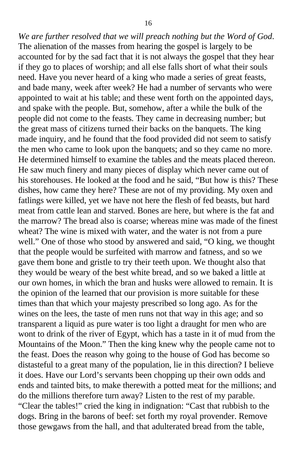*We are further resolved that we will preach nothing but the Word of God*. The alienation of the masses from hearing the gospel is largely to be accounted for by the sad fact that it is not always the gospel that they hear if they go to places of worship; and all else falls short of what their souls need. Have you never heard of a king who made a series of great feasts, and bade many, week after week? He had a number of servants who were appointed to wait at his table; and these went forth on the appointed days, and spake with the people. But, somehow, after a while the bulk of the people did not come to the feasts. They came in decreasing number; but the great mass of citizens turned their backs on the banquets. The king made inquiry, and he found that the food provided did not seem to satisfy the men who came to look upon the banquets; and so they came no more. He determined himself to examine the tables and the meats placed thereon. He saw much finery and many pieces of display which never came out of his storehouses. He looked at the food and he said, "But how is this? These dishes, how came they here? These are not of my providing. My oxen and fatlings were killed, yet we have not here the flesh of fed beasts, but hard meat from cattle lean and starved. Bones are here, but where is the fat and the marrow? The bread also is coarse; whereas mine was made of the finest wheat? The wine is mixed with water, and the water is not from a pure well." One of those who stood by answered and said, "O king, we thought that the people would be surfeited with marrow and fatness, and so we gave them bone and gristle to try their teeth upon. We thought also that they would be weary of the best white bread, and so we baked a little at our own homes, in which the bran and husks were allowed to remain. It is the opinion of the learned that our provision is more suitable for these times than that which your majesty prescribed so long ago. As for the wines on the lees, the taste of men runs not that way in this age; and so transparent a liquid as pure water is too light a draught for men who are wont to drink of the river of Egypt, which has a taste in it of mud from the Mountains of the Moon." Then the king knew why the people came not to the feast. Does the reason why going to the house of God has become so distasteful to a great many of the population, lie in this direction? I believe it does. Have our Lord's servants been chopping up their own odds and ends and tainted bits, to make therewith a potted meat for the millions; and do the millions therefore turn away? Listen to the rest of my parable. "Clear the tables!" cried the king in indignation: "Cast that rubbish to the dogs. Bring in the barons of beef: set forth my royal provender. Remove those gewgaws from the hall, and that adulterated bread from the table,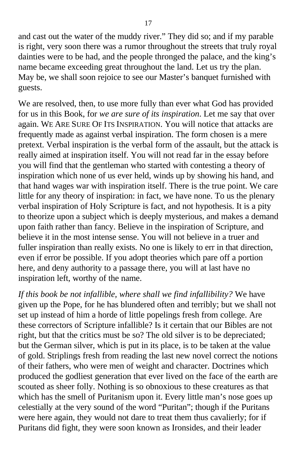and cast out the water of the muddy river." They did so; and if my parable is right, very soon there was a rumor throughout the streets that truly royal dainties were to be had, and the people thronged the palace, and the king's name became exceeding great throughout the land. Let us try the plan. May be, we shall soon rejoice to see our Master's banquet furnished with guests.

We are resolved, then, to use more fully than ever what God has provided for us in this Book, for *we are sure of its inspiration*. Let me say that over again. WE ARE SURE OF ITS INSPIRATION. You will notice that attacks are frequently made as against verbal inspiration. The form chosen is a mere pretext. Verbal inspiration is the verbal form of the assault, but the attack is really aimed at inspiration itself. You will not read far in the essay before you will find that the gentleman who started with contesting a theory of inspiration which none of us ever held, winds up by showing his hand, and that hand wages war with inspiration itself. There is the true point. We care little for any theory of inspiration: in fact, we have none. To us the plenary verbal inspiration of Holy Scripture is fact, and not hypothesis. It is a pity to theorize upon a subject which is deeply mysterious, and makes a demand upon faith rather than fancy. Believe in the inspiration of Scripture, and believe it in the most intense sense. You will not believe in a truer and fuller inspiration than really exists. No one is likely to err in that direction, even if error be possible. If you adopt theories which pare off a portion here, and deny authority to a passage there, you will at last have no inspiration left, worthy of the name.

*If this book be not infallible, where shall we find infallibility?* We have given up the Pope, for he has blundered often and terribly; but we shall not set up instead of him a horde of little popelings fresh from college. Are these correctors of Scripture infallible? Is it certain that our Bibles are not right, but that the critics must be so? The old silver is to be depreciated; but the German silver, which is put in its place, is to be taken at the value of gold. Striplings fresh from reading the last new novel correct the notions of their fathers, who were men of weight and character. Doctrines which produced the godliest generation that ever lived on the face of the earth are scouted as sheer folly. Nothing is so obnoxious to these creatures as that which has the smell of Puritanism upon it. Every little man's nose goes up celestially at the very sound of the word "Puritan"; though if the Puritans were here again, they would not dare to treat them thus cavalierly; for if Puritans did fight, they were soon known as Ironsides, and their leader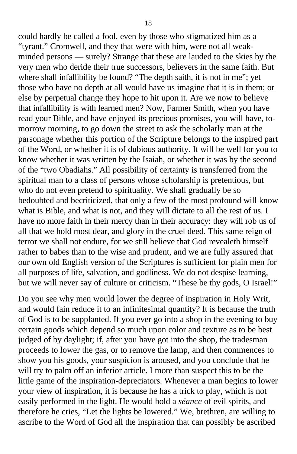could hardly be called a fool, even by those who stigmatized him as a "tyrant." Cromwell, and they that were with him, were not all weakminded persons — surely? Strange that these are lauded to the skies by the very men who deride their true successors, believers in the same faith. But where shall infallibility be found? "The depth saith, it is not in me"; yet those who have no depth at all would have us imagine that it is in them; or else by perpetual change they hope to hit upon it. Are we now to believe that infallibility is with learned men? Now, Farmer Smith, when you have read your Bible, and have enjoyed its precious promises, you will have, tomorrow morning, to go down the street to ask the scholarly man at the parsonage whether this portion of the Scripture belongs to the inspired part of the Word, or whether it is of dubious authority. It will be well for you to know whether it was written by the Isaiah, or whether it was by the second of the "two Obadiahs." All possibility of certainty is transferred from the spiritual man to a class of persons whose scholarship is pretentious, but who do not even pretend to spirituality. We shall gradually be so bedoubted and becriticized, that only a few of the most profound will know what is Bible, and what is not, and they will dictate to all the rest of us. I have no more faith in their mercy than in their accuracy: they will rob us of all that we hold most dear, and glory in the cruel deed. This same reign of terror we shall not endure, for we still believe that God revealeth himself rather to babes than to the wise and prudent, and we are fully assured that our own old English version of the Scriptures is sufficient for plain men for all purposes of life, salvation, and godliness. We do not despise learning, but we will never say of culture or criticism. "These be thy gods, O Israel!"

Do you see why men would lower the degree of inspiration in Holy Writ, and would fain reduce it to an infinitesimal quantity? It is because the truth of God is to be supplanted. If you ever go into a shop in the evening to buy certain goods which depend so much upon color and texture as to be best judged of by daylight; if, after you have got into the shop, the tradesman proceeds to lower the gas, or to remove the lamp, and then commences to show you his goods, your suspicion is aroused, and you conclude that he will try to palm off an inferior article. I more than suspect this to be the little game of the inspiration-depreciators. Whenever a man begins to lower your view of inspiration, it is because he has a trick to play, which is not easily performed in the light. He would hold a *séance* of evil spirits, and therefore he cries, "Let the lights be lowered." We, brethren, are willing to ascribe to the Word of God all the inspiration that can possibly be ascribed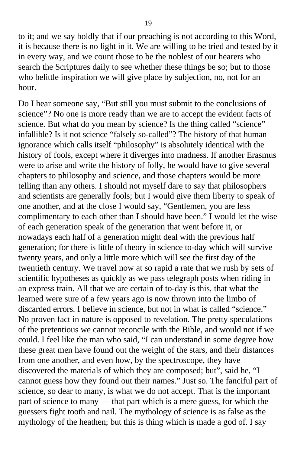to it; and we say boldly that if our preaching is not according to this Word, it is because there is no light in it. We are willing to be tried and tested by it in every way, and we count those to be the noblest of our hearers who search the Scriptures daily to see whether these things be so; but to those who belittle inspiration we will give place by subjection, no, not for an hour.

Do I hear someone say, "But still you must submit to the conclusions of science"? No one is more ready than we are to accept the evident facts of science. But what do you mean by science? Is the thing called "science" infallible? Is it not science "falsely so-called"? The history of that human ignorance which calls itself "philosophy" is absolutely identical with the history of fools, except where it diverges into madness. If another Erasmus were to arise and write the history of folly, he would have to give several chapters to philosophy and science, and those chapters would be more telling than any others. I should not myself dare to say that philosophers and scientists are generally fools; but I would give them liberty to speak of one another, and at the close I would say, "Gentlemen, you are less complimentary to each other than I should have been." I would let the wise of each generation speak of the generation that went before it, or nowadays each half of a generation might deal with the previous half generation; for there is little of theory in science to-day which will survive twenty years, and only a little more which will see the first day of the twentieth century. We travel now at so rapid a rate that we rush by sets of scientific hypotheses as quickly as we pass telegraph posts when riding in an express train. All that we are certain of to-day is this, that what the learned were sure of a few years ago is now thrown into the limbo of discarded errors. I believe in science, but not in what is called "science." No proven fact in nature is opposed to revelation. The pretty speculations of the pretentious we cannot reconcile with the Bible, and would not if we could. I feel like the man who said, "I can understand in some degree how these great men have found out the weight of the stars, and their distances from one another, and even how, by the spectroscope, they have discovered the materials of which they are composed; but", said he, "I cannot guess how they found out their names." Just so. The fanciful part of science, so dear to many, is what we do not accept. That is the important part of science to many — that part which is a mere guess, for which the guessers fight tooth and nail. The mythology of science is as false as the mythology of the heathen; but this is thing which is made a god of. I say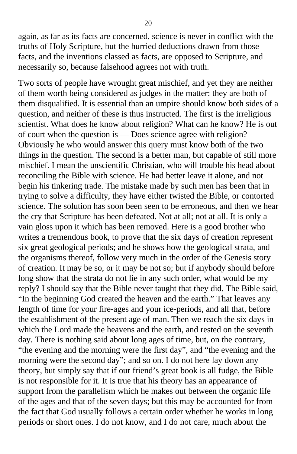again, as far as its facts are concerned, science is never in conflict with the truths of Holy Scripture, but the hurried deductions drawn from those facts, and the inventions classed as facts, are opposed to Scripture, and necessarily so, because falsehood agrees not with truth.

Two sorts of people have wrought great mischief, and yet they are neither of them worth being considered as judges in the matter: they are both of them disqualified. It is essential than an umpire should know both sides of a question, and neither of these is thus instructed. The first is the irreligious scientist. What does he know about religion? What can he know? He is out of court when the question is — Does science agree with religion? Obviously he who would answer this query must know both of the two things in the question. The second is a better man, but capable of still more mischief. I mean the unscientific Christian, who will trouble his head about reconciling the Bible with science. He had better leave it alone, and not begin his tinkering trade. The mistake made by such men has been that in trying to solve a difficulty, they have either twisted the Bible, or contorted science. The solution has soon been seen to be erroneous, and then we hear the cry that Scripture has been defeated. Not at all; not at all. It is only a vain gloss upon it which has been removed. Here is a good brother who writes a tremendous book, to prove that the six days of creation represent six great geological periods; and he shows how the geological strata, and the organisms thereof, follow very much in the order of the Genesis story of creation. It may be so, or it may be not so; but if anybody should before long show that the strata do not lie in any such order, what would be my reply? I should say that the Bible never taught that they did. The Bible said, "In the beginning God created the heaven and the earth." That leaves any length of time for your fire-ages and your ice-periods, and all that, before the establishment of the present age of man. Then we reach the six days in which the Lord made the heavens and the earth, and rested on the seventh day. There is nothing said about long ages of time, but, on the contrary, "the evening and the morning were the first day", and "the evening and the morning were the second day"; and so on. I do not here lay down any theory, but simply say that if our friend's great book is all fudge, the Bible is not responsible for it. It is true that his theory has an appearance of support from the parallelism which he makes out between the organic life of the ages and that of the seven days; but this may be accounted for from the fact that God usually follows a certain order whether he works in long periods or short ones. I do not know, and I do not care, much about the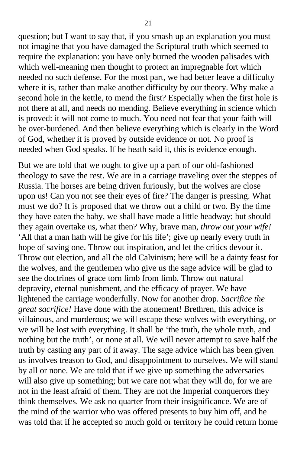question; but I want to say that, if you smash up an explanation you must not imagine that you have damaged the Scriptural truth which seemed to require the explanation: you have only burned the wooden palisades with which well-meaning men thought to protect an impregnable fort which needed no such defense. For the most part, we had better leave a difficulty where it is, rather than make another difficulty by our theory. Why make a second hole in the kettle, to mend the first? Especially when the first hole is not there at all, and needs no mending. Believe everything in science which is proved: it will not come to much. You need not fear that your faith will be over-burdened. And then believe everything which is clearly in the Word of God, whether it is proved by outside evidence or not. No proof is needed when God speaks. If he heath said it, this is evidence enough.

But we are told that we ought to give up a part of our old-fashioned theology to save the rest. We are in a carriage traveling over the steppes of Russia. The horses are being driven furiously, but the wolves are close upon us! Can you not see their eyes of fire? The danger is pressing. What must we do? It is proposed that we throw out a child or two. By the time they have eaten the baby, we shall have made a little headway; but should they again overtake us, what then? Why, brave man, *throw out your wife!* 'All that a man hath will he give for his life'; give up nearly every truth in hope of saving one. Throw out inspiration, and let the critics devour it. Throw out election, and all the old Calvinism; here will be a dainty feast for the wolves, and the gentlemen who give us the sage advice will be glad to see the doctrines of grace torn limb from limb. Throw out natural depravity, eternal punishment, and the efficacy of prayer. We have lightened the carriage wonderfully. Now for another drop. *Sacrifice the great sacrifice!* Have done with the atonement! Brethren, this advice is villainous, and murderous; we will escape these wolves with everything, or we will be lost with everything. It shall be 'the truth, the whole truth, and nothing but the truth', or none at all. We will never attempt to save half the truth by casting any part of it away. The sage advice which has been given us involves treason to God, and disappointment to ourselves. We will stand by all or none. We are told that if we give up something the adversaries will also give up something; but we care not what they will do, for we are not in the least afraid of them. They are not the Imperial conquerors they think themselves. We ask no quarter from their insignificance. We are of the mind of the warrior who was offered presents to buy him off, and he was told that if he accepted so much gold or territory he could return home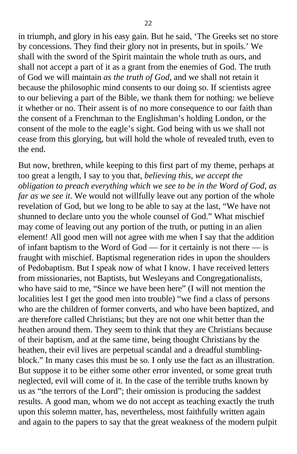in triumph, and glory in his easy gain. But he said, 'The Greeks set no store by concessions. They find their glory not in presents, but in spoils.' We shall with the sword of the Spirit maintain the whole truth as ours, and shall not accept a part of it as a grant from the enemies of God. The truth of God we will maintain *as the truth of God*, and we shall not retain it because the philosophic mind consents to our doing so. If scientists agree to our believing a part of the Bible, we thank them for nothing: we believe it whether or no. Their assent is of no more consequence to our faith than the consent of a Frenchman to the Englishman's holding London, or the consent of the mole to the eagle's sight. God being with us we shall not cease from this glorying, but will hold the whole of revealed truth, even to the end.

But now, brethren, while keeping to this first part of my theme, perhaps at too great a length, I say to you that, *believing this, we accept the obligation to preach everything which we see to be in the Word of God, as far as we see it*. We would not willfully leave out any portion of the whole revelation of God, but we long to be able to say at the last, "We have not shunned to declare unto you the whole counsel of God." What mischief may come of leaving out any portion of the truth, or putting in an alien element! All good men will not agree with me when I say that the addition of infant baptism to the Word of God — for it certainly is not there — is fraught with mischief. Baptismal regeneration rides in upon the shoulders of Pedobaptism. But I speak now of what I know. I have received letters from missionaries, not Baptists, but Wesleyans and Congregationalists, who have said to me, "Since we have been here" (I will not mention the localities lest I get the good men into trouble) "we find a class of persons who are the children of former converts, and who have been baptized, and are therefore called Christians; but they are not one whit better than the heathen around them. They seem to think that they are Christians because of their baptism, and at the same time, being thought Christians by the heathen, their evil lives are perpetual scandal and a dreadful stumblingblock." In many cases this must be so. I only use the fact as an illustration. But suppose it to be either some other error invented, or some great truth neglected, evil will come of it. In the case of the terrible truths known by us as "the terrors of the Lord"; their omission is producing the saddest results. A good man, whom we do not accept as teaching exactly the truth upon this solemn matter, has, nevertheless, most faithfully written again and again to the papers to say that the great weakness of the modern pulpit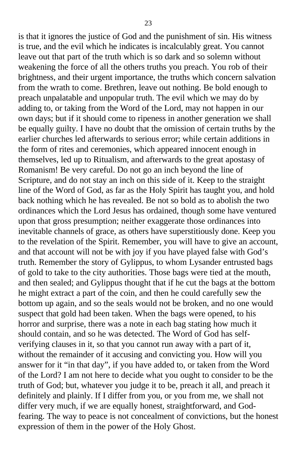is that it ignores the justice of God and the punishment of sin. His witness is true, and the evil which he indicates is incalculably great. You cannot leave out that part of the truth which is so dark and so solemn without weakening the force of all the others truths you preach. You rob of their brightness, and their urgent importance, the truths which concern salvation from the wrath to come. Brethren, leave out nothing. Be bold enough to preach unpalatable and unpopular truth. The evil which we may do by adding to, or taking from the Word of the Lord, may not happen in our own days; but if it should come to ripeness in another generation we shall be equally guilty. I have no doubt that the omission of certain truths by the earlier churches led afterwards to serious error; while certain additions in the form of rites and ceremonies, which appeared innocent enough in themselves, led up to Ritualism, and afterwards to the great apostasy of Romanism! Be very careful. Do not go an inch beyond the line of Scripture, and do not stay an inch on this side of it. Keep to the straight line of the Word of God, as far as the Holy Spirit has taught you, and hold back nothing which he has revealed. Be not so bold as to abolish the two ordinances which the Lord Jesus has ordained, though some have ventured upon that gross presumption; neither exaggerate those ordinances into inevitable channels of grace, as others have superstitiously done. Keep you to the revelation of the Spirit. Remember, you will have to give an account, and that account will not be with joy if you have played false with God's truth. Remember the story of Gylippus, to whom Lysander entrusted bags of gold to take to the city authorities. Those bags were tied at the mouth, and then sealed; and Gylippus thought that if he cut the bags at the bottom he might extract a part of the coin, and then he could carefully sew the bottom up again, and so the seals would not be broken, and no one would suspect that gold had been taken. When the bags were opened, to his horror and surprise, there was a note in each bag stating how much it should contain, and so he was detected. The Word of God has selfverifying clauses in it, so that you cannot run away with a part of it, without the remainder of it accusing and convicting you. How will you answer for it "in that day", if you have added to, or taken from the Word of the Lord? I am not here to decide what you ought to consider to be the truth of God; but, whatever you judge it to be, preach it all, and preach it definitely and plainly. If I differ from you, or you from me, we shall not differ very much, if we are equally honest, straightforward, and Godfearing. The way to peace is not concealment of convictions, but the honest expression of them in the power of the Holy Ghost.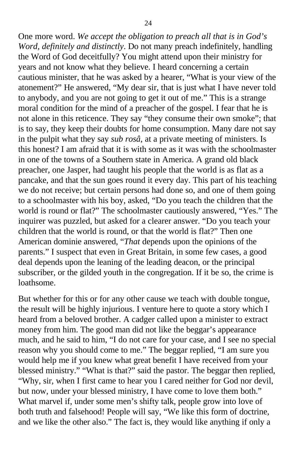One more word. *We accept the obligation to preach all that is in God's Word, definitely and distinctly*. Do not many preach indefinitely, handling the Word of God deceitfully? You might attend upon their ministry for years and not know what they believe. I heard concerning a certain cautious minister, that he was asked by a hearer, "What is your view of the atonement?" He answered, "My dear sir, that is just what I have never told to anybody, and you are not going to get it out of me." This is a strange moral condition for the mind of a preacher of the gospel. I fear that he is not alone in this reticence. They say "they consume their own smoke"; that is to say, they keep their doubts for home consumption. Many dare not say in the pulpit what they say *sub rosâ*, at a private meeting of ministers. Is this honest? I am afraid that it is with some as it was with the schoolmaster in one of the towns of a Southern state in America. A grand old black preacher, one Jasper, had taught his people that the world is as flat as a pancake, and that the sun goes round it every day. This part of his teaching we do not receive; but certain persons had done so, and one of them going to a schoolmaster with his boy, asked, "Do you teach the children that the world is round or flat?" The schoolmaster cautiously answered, "Yes." The inquirer was puzzled, but asked for a clearer answer. "Do you teach your children that the world is round, or that the world is flat?" Then one American dominie answered, "*That* depends upon the opinions of the parents." I suspect that even in Great Britain, in some few cases, a good deal depends upon the leaning of the leading deacon, or the principal subscriber, or the gilded youth in the congregation. If it be so, the crime is loathsome.

But whether for this or for any other cause we teach with double tongue, the result will be highly injurious. I venture here to quote a story which I heard from a beloved brother. A cadger called upon a minister to extract money from him. The good man did not like the beggar's appearance much, and he said to him, "I do not care for your case, and I see no special reason why you should come to me." The beggar replied, "I am sure you would help me if you knew what great benefit I have received from your blessed ministry." "What is that?" said the pastor. The beggar then replied, "Why, sir, when I first came to hear you I cared neither for God nor devil, but now, under your blessed ministry, I have come to love them both." What marvel if, under some men's shifty talk, people grow into love of both truth and falsehood! People will say, "We like this form of doctrine, and we like the other also." The fact is, they would like anything if only a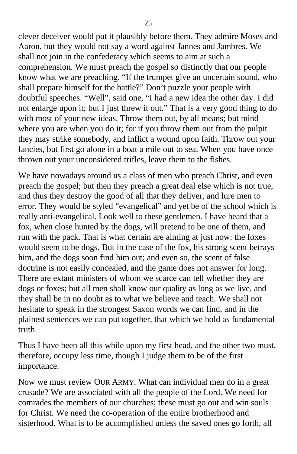clever deceiver would put it plausibly before them. They admire Moses and Aaron, but they would not say a word against Jannes and Jambres. We shall not join in the confederacy which seems to aim at such a comprehension. We must preach the gospel so distinctly that our people know what we are preaching. "If the trumpet give an uncertain sound, who shall prepare himself for the battle?" Don't puzzle your people with doubtful speeches. "Well", said one, "I had a new idea the other day. I did not enlarge upon it; but I just threw it out." That is a very good thing to do with most of your new ideas. Throw them out, by all means; but mind where you are when you do it; for if you throw them out from the pulpit they may strike somebody, and inflict a wound upon faith. Throw out your fancies, but first go alone in a boat a mile out to sea. When you have once thrown out your unconsidered trifles, leave them to the fishes.

We have nowadays around us a class of men who preach Christ, and even preach the gospel; but then they preach a great deal else which is not true, and thus they destroy the good of all that they deliver, and lure men to error. They would be styled "evangelical" and yet be of the school which is really anti-evangelical. Look well to these gentlemen. I have heard that a fox, when close hunted by the dogs, will pretend to be one of them, and run with the pack. That is what certain are aiming at just now: the foxes would seem to be dogs. But in the case of the fox, his strong scent betrays him, and the dogs soon find him out; and even so, the scent of false doctrine is not easily concealed, and the game does not answer for long. There are extant ministers of whom we scarce can tell whether they are dogs or foxes; but all men shall know our quality as long as we live, and they shall be in no doubt as to what we believe and teach. We shall not hesitate to speak in the strongest Saxon words we can find, and in the plainest sentences we can put together, that which we hold as fundamental truth.

Thus I have been all this while upon my first head, and the other two must, therefore, occupy less time, though I judge them to be of the first importance.

Now we must review OUR ARMY. What can individual men do in a great crusade? We are associated with all the people of the Lord. We need for comrades the members of our churches; these must go out and win souls for Christ. We need the co-operation of the entire brotherhood and sisterhood. What is to be accomplished unless the saved ones go forth, all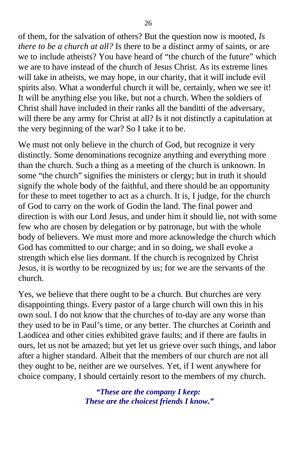of them, for the salvation of others? But the question now is mooted, *Is there to be a church at all?* Is there to be a distinct army of saints, or are we to include atheists? You have heard of "the church of the future" which we are to have instead of the church of Jesus Christ. As its extreme lines will take in atheists, we may hope, in our charity, that it will include evil spirits also. What a wonderful church it will be, certainly, when we see it! It will be anything else you like, but not a church. When the soldiers of Christ shall have included in their ranks all the banditti of the adversary, will there be any army for Christ at all? Is it not distinctly a capitulation at the very beginning of the war? So I take it to be.

We must not only believe in the church of God, but recognize it very distinctly. Some denominations recognize anything and everything more than the church. Such a thing as a meeting of the church is unknown. In some "the church" signifies the ministers or clergy; but in truth it should signify the whole body of the faithful, and there should be an opportunity for these to meet together to act as a church. It is, I judge, for the church of God to carry on the work of Godin the land. The final power and direction is with our Lord Jesus, and under him it should lie, not with some few who are chosen by delegation or by patronage, but with the whole body of believers. We must more and more acknowledge the church which God has committed to our charge; and in so doing, we shall evoke a strength which else lies dormant. If the church is recognized by Christ Jesus, it is worthy to be recognized by us; for we are the servants of the church.

Yes, we believe that there ought to be a church. But churches are very disappointing things. Every pastor of a large church will own this in his own soul. I do not know that the churches of to-day are any worse than they used to be in Paul's time, or any better. The churches at Corinth and Laodicea and other cities exhibited grave faults; and if there are faults in ours, let us not be amazed; but yet let us grieve over such things, and labor after a higher standard. Albeit that the members of our church are not all they ought to be, neither are we ourselves. Yet, if I went anywhere for choice company, I should certainly resort to the members of my church.

> *"These are the company I keep: These are the choicest friends I know."*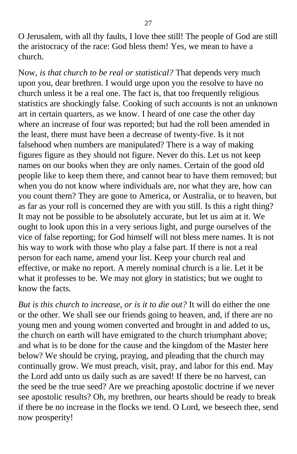O Jerusalem, with all thy faults, I love thee still! The people of God are still the aristocracy of the race: God bless them! Yes, we mean to have a church.

Now, *is that church to be real or statistical?* That depends very much upon you, dear brethren. I would urge upon you the resolve to have no church unless it be a real one. The fact is, that too frequently religious statistics are shockingly false. Cooking of such accounts is not an unknown art in certain quarters, as we know. I heard of one case the other day where an increase of four was reported; but had the roll been amended in the least, there must have been a decrease of twenty-five. Is it not falsehood when numbers are manipulated? There is a way of making figures figure as they should not figure. Never do this. Let us not keep names on our books when they are only names. Certain of the good old people like to keep them there, and cannot bear to have them removed; but when you do not know where individuals are, nor what they are, how can you count them? They are gone to America, or Australia, or to heaven, but as far as your roll is concerned they are with you still. Is this a right thing? It may not be possible to be absolutely accurate, but let us aim at it. We ought to look upon this in a very serious light, and purge ourselves of the vice of false reporting; for God himself will not bless mere names. It is not his way to work with those who play a false part. If there is not a real person for each name, amend your list. Keep your church real and effective, or make no report. A merely nominal church is a lie. Let it be what it professes to be. We may not glory in statistics; but we ought to know the facts.

*But is this church to increase, or is it to die out?* It will do either the one or the other. We shall see our friends going to heaven, and, if there are no young men and young women converted and brought in and added to us, the church on earth will have emigrated to the church triumphant above; and what is to be done for the cause and the kingdom of the Master here below? We should be crying, praying, and pleading that the church may continually grow. We must preach, visit, pray, and labor for this end. May the Lord add unto us daily such as are saved! If there be no harvest, can the seed be the true seed? Are we preaching apostolic doctrine if we never see apostolic results? Oh, my brethren, our hearts should be ready to break if there be no increase in the flocks we tend. O Lord, we beseech thee, send now prosperity!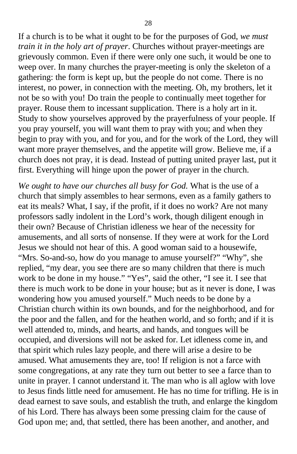If a church is to be what it ought to be for the purposes of God, *we must train it in the holy art of prayer*. Churches without prayer-meetings are grievously common. Even if there were only one such, it would be one to weep over. In many churches the prayer-meeting is only the skeleton of a gathering: the form is kept up, but the people do not come. There is no interest, no power, in connection with the meeting. Oh, my brothers, let it not be so with you! Do train the people to continually meet together for prayer. Rouse them to incessant supplication. There is a holy art in it. Study to show yourselves approved by the prayerfulness of your people. If you pray yourself, you will want them to pray with you; and when they begin to pray with you, and for you, and for the work of the Lord, they will want more prayer themselves, and the appetite will grow. Believe me, if a church does not pray, it is dead. Instead of putting united prayer last, put it first. Everything will hinge upon the power of prayer in the church.

*We ought to have our churches all busy for God.* What is the use of a church that simply assembles to hear sermons, even as a family gathers to eat its meals? What, I say, if the profit, if it does no work? Are not many professors sadly indolent in the Lord's work, though diligent enough in their own? Because of Christian idleness we hear of the necessity for amusements, and all sorts of nonsense. If they were at work for the Lord Jesus we should not hear of this. A good woman said to a housewife, "Mrs. So-and-so, how do you manage to amuse yourself?" "Why", she replied, "my dear, you see there are so many children that there is much work to be done in my house." "Yes", said the other, "I see it. I see that there is much work to be done in your house; but as it never is done, I was wondering how you amused yourself." Much needs to be done by a Christian church within its own bounds, and for the neighborhood, and for the poor and the fallen, and for the heathen world, and so forth; and if it is well attended to, minds, and hearts, and hands, and tongues will be occupied, and diversions will not be asked for. Let idleness come in, and that spirit which rules lazy people, and there will arise a desire to be amused. What amusements they are, too! If religion is not a farce with some congregations, at any rate they turn out better to see a farce than to unite in prayer. I cannot understand it. The man who is all aglow with love to Jesus finds little need for amusement. He has no time for trifling. He is in dead earnest to save souls, and establish the truth, and enlarge the kingdom of his Lord. There has always been some pressing claim for the cause of God upon me; and, that settled, there has been another, and another, and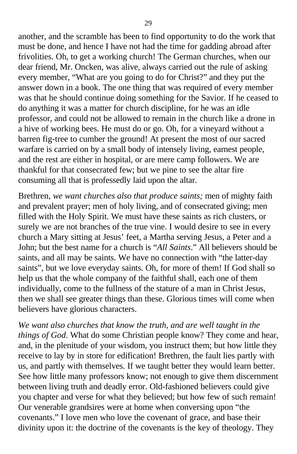another, and the scramble has been to find opportunity to do the work that must be done, and hence I have not had the time for gadding abroad after frivolities. Oh, to get a working church! The German churches, when our dear friend, Mr. Oncken, was alive, always carried out the rule of asking every member, "What are you going to do for Christ?" and they put the answer down in a book. The one thing that was required of every member was that he should continue doing something for the Savior. If he ceased to do anything it was a matter for church discipline, for he was an idle professor, and could not be allowed to remain in the church like a drone in a hive of working bees. He must do or go. Oh, for a vineyard without a barren fig-tree to cumber the ground! At present the most of our sacred warfare is carried on by a small body of intensely living, earnest people, and the rest are either in hospital, or are mere camp followers. We are thankful for that consecrated few; but we pine to see the altar fire consuming all that is professedly laid upon the altar.

Brethren, *we want churches also that produce saints;* men of mighty faith and prevalent prayer; men of holy living, and of consecrated giving; men filled with the Holy Spirit. We must have these saints as rich clusters, or surely we are not branches of the true vine. I would desire to see in every church a Mary sitting at Jesus' feet, a Martha serving Jesus, a Peter and a John; but the best name for a church is "*All Saints*." All believers should be saints, and all may be saints. We have no connection with "the latter-day saints", but we love everyday saints. Oh, for more of them! If God shall so help us that the whole company of the faithful shall, each one of them individually, come to the fullness of the stature of a man in Christ Jesus, then we shall see greater things than these. Glorious times will come when believers have glorious characters.

*We want also churches that know the truth, and are well taught in the things of God*. What do some Christian people know? They come and hear, and, in the plenitude of your wisdom, you instruct them; but how little they receive to lay by in store for edification! Brethren, the fault lies partly with us, and partly with themselves. If we taught better they would learn better. See how little many professors know; not enough to give them discernment between living truth and deadly error. Old-fashioned believers could give you chapter and verse for what they believed; but how few of such remain! Our venerable grandsires were at home when conversing upon "the covenants." I love men who love the covenant of grace, and base their divinity upon it: the doctrine of the covenants is the key of theology. They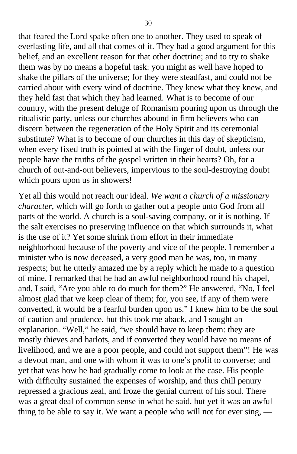that feared the Lord spake often one to another. They used to speak of everlasting life, and all that comes of it. They had a good argument for this belief, and an excellent reason for that other doctrine; and to try to shake them was by no means a hopeful task: you might as well have hoped to shake the pillars of the universe; for they were steadfast, and could not be carried about with every wind of doctrine. They knew what they knew, and they held fast that which they had learned. What is to become of our country, with the present deluge of Romanism pouring upon us through the ritualistic party, unless our churches abound in firm believers who can discern between the regeneration of the Holy Spirit and its ceremonial substitute? What is to become of our churches in this day of skepticism, when every fixed truth is pointed at with the finger of doubt, unless our people have the truths of the gospel written in their hearts? Oh, for a church of out-and-out believers, impervious to the soul-destroying doubt which pours upon us in showers!

Yet all this would not reach our ideal. *We want a church of a missionary character*, which will go forth to gather out a people unto God from all parts of the world. A church is a soul-saving company, or it is nothing. If the salt exercises no preserving influence on that which surrounds it, what is the use of it? Yet some shrink from effort in their immediate neighborhood because of the poverty and vice of the people. I remember a minister who is now deceased, a very good man he was, too, in many respects; but he utterly amazed me by a reply which he made to a question of mine. I remarked that he had an awful neighborhood round his chapel, and, I said, "Are you able to do much for them?" He answered, "No, I feel almost glad that we keep clear of them; for, you see, if any of them were converted, it would be a fearful burden upon us." I knew him to be the soul of caution and prudence, but this took me aback, and I sought an explanation. "Well," he said, "we should have to keep them: they are mostly thieves and harlots, and if converted they would have no means of livelihood, and we are a poor people, and could not support them"! He was a devout man, and one with whom it was to one's profit to converse; and yet that was how he had gradually come to look at the case. His people with difficulty sustained the expenses of worship, and thus chill penury repressed a gracious zeal, and froze the genial current of his soul. There was a great deal of common sense in what he said, but yet it was an awful thing to be able to say it. We want a people who will not for ever sing, —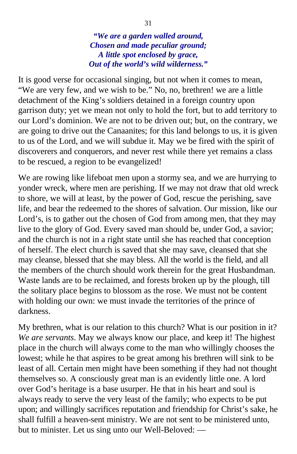*"We are a garden walled around, Chosen and made peculiar ground; A little spot enclosed by grace, Out of the world's wild wilderness."*

It is good verse for occasional singing, but not when it comes to mean, "We are very few, and we wish to be." No, no, brethren! we are a little detachment of the King's soldiers detained in a foreign country upon garrison duty; yet we mean not only to hold the fort, but to add territory to our Lord's dominion. We are not to be driven out; but, on the contrary, we are going to drive out the Canaanites; for this land belongs to us, it is given to us of the Lord, and we will subdue it. May we be fired with the spirit of discoverers and conquerors, and never rest while there yet remains a class to be rescued, a region to be evangelized!

We are rowing like lifeboat men upon a stormy sea, and we are hurrying to yonder wreck, where men are perishing. If we may not draw that old wreck to shore, we will at least, by the power of God, rescue the perishing, save life, and bear the redeemed to the shores of salvation. Our mission, like our Lord's, is to gather out the chosen of God from among men, that they may live to the glory of God. Every saved man should be, under God, a savior; and the church is not in a right state until she has reached that conception of herself. The elect church is saved that she may save, cleansed that she may cleanse, blessed that she may bless. All the world is the field, and all the members of the church should work therein for the great Husbandman. Waste lands are to be reclaimed, and forests broken up by the plough, till the solitary place begins to blossom as the rose. We must not be content with holding our own: we must invade the territories of the prince of darkness.

My brethren, what is our relation to this church? What is our position in it? *We are servants*. May we always know our place, and keep it! The highest place in the church will always come to the man who willingly chooses the lowest; while he that aspires to be great among his brethren will sink to be least of all. Certain men might have been something if they had not thought themselves so. A consciously great man is an evidently little one. A lord over God's heritage is a base usurper. He that in his heart and soul is always ready to serve the very least of the family; who expects to be put upon; and willingly sacrifices reputation and friendship for Christ's sake, he shall fulfill a heaven-sent ministry. We are not sent to be ministered unto, but to minister. Let us sing unto our Well-Beloved: —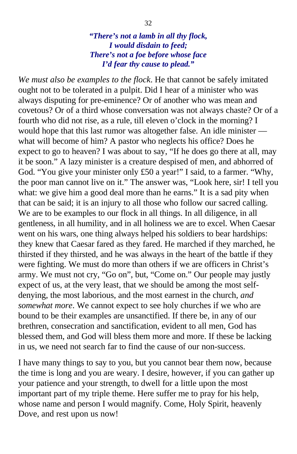*We must also be examples to the flock*. He that cannot be safely imitated ought not to be tolerated in a pulpit. Did I hear of a minister who was always disputing for pre-eminence? Or of another who was mean and covetous? Or of a third whose conversation was not always chaste? Or of a fourth who did not rise, as a rule, till eleven o'clock in the morning? I would hope that this last rumor was altogether false. An idle minister what will become of him? A pastor who neglects his office? Does he expect to go to heaven? I was about to say, "If he does go there at all, may it be soon." A lazy minister is a creature despised of men, and abhorred of God. "You give your minister only £50 a year!" I said, to a farmer. "Why, the poor man cannot live on it." The answer was, "Look here, sir! I tell you what: we give him a good deal more than he earns." It is a sad pity when that can be said; it is an injury to all those who follow our sacred calling. We are to be examples to our flock in all things. In all diligence, in all gentleness, in all humility, and in all holiness we are to excel. When Caesar went on his wars, one thing always helped his soldiers to bear hardships: they knew that Caesar fared as they fared. He marched if they marched, he thirsted if they thirsted, and he was always in the heart of the battle if they were fighting. We must do more than others if we are officers in Christ's army. We must not cry, "Go on", but, "Come on." Our people may justly expect of us, at the very least, that we should be among the most selfdenying, the most laborious, and the most earnest in the church, *and somewhat more*. We cannot expect to see holy churches if we who are bound to be their examples are unsanctified. If there be, in any of our brethren, consecration and sanctification, evident to all men, God has blessed them, and God will bless them more and more. If these be lacking in us, we need not search far to find the cause of our non-success.

I have many things to say to you, but you cannot bear them now, because the time is long and you are weary. I desire, however, if you can gather up your patience and your strength, to dwell for a little upon the most important part of my triple theme. Here suffer me to pray for his help, whose name and person I would magnify. Come, Holy Spirit, heavenly Dove, and rest upon us now!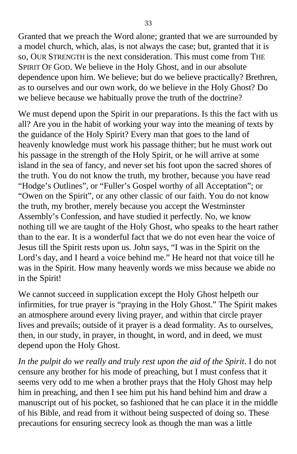Granted that we preach the Word alone; granted that we are surrounded by a model church, which, alas, is not always the case; but, granted that it is so, OUR STRENGTH is the next consideration. This must come from THE SPIRIT OF GOD. We believe in the Holy Ghost, and in our absolute dependence upon him. We believe; but do we believe practically? Brethren, as to ourselves and our own work, do we believe in the Holy Ghost? Do we believe because we habitually prove the truth of the doctrine?

We must depend upon the Spirit in our preparations. Is this the fact with us all? Are you in the habit of working your way into the meaning of texts by the guidance of the Holy Spirit? Every man that goes to the land of heavenly knowledge must work his passage thither; but he must work out his passage in the strength of the Holy Spirit, or he will arrive at some island in the sea of fancy, and never set his foot upon the sacred shores of the truth. You do not know the truth, my brother, because you have read "Hodge's Outlines", or "Fuller's Gospel worthy of all Acceptation"; or "Owen on the Spirit", or any other classic of our faith. You do not know the truth, my brother, merely because you accept the Westminster Assembly's Confession, and have studied it perfectly. No, we know nothing till we are taught of the Holy Ghost, who speaks to the heart rather than to the ear. It is a wonderful fact that we do not even hear the voice of Jesus till the Spirit rests upon us. John says, "I was in the Spirit on the Lord's day, and I heard a voice behind me." He heard not that voice till he was in the Spirit. How many heavenly words we miss because we abide no in the Spirit!

We cannot succeed in supplication except the Holy Ghost helpeth our infirmities, for true prayer is "praying in the Holy Ghost." The Spirit makes an atmosphere around every living prayer, and within that circle prayer lives and prevails; outside of it prayer is a dead formality. As to ourselves, then, in our study, in prayer, in thought, in word, and in deed, we must depend upon the Holy Ghost.

*In the pulpit do we really and truly rest upon the aid of the Spirit*. I do not censure any brother for his mode of preaching, but I must confess that it seems very odd to me when a brother prays that the Holy Ghost may help him in preaching, and then I see him put his hand behind him and draw a manuscript out of his pocket, so fashioned that he can place it in the middle of his Bible, and read from it without being suspected of doing so. These precautions for ensuring secrecy look as though the man was a little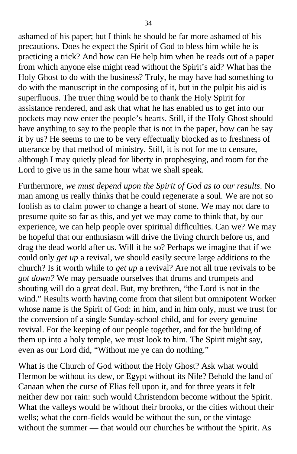ashamed of his paper; but I think he should be far more ashamed of his precautions. Does he expect the Spirit of God to bless him while he is practicing a trick? And how can He help him when he reads out of a paper from which anyone else might read without the Spirit's aid? What has the Holy Ghost to do with the business? Truly, he may have had something to do with the manuscript in the composing of it, but in the pulpit his aid is superfluous. The truer thing would be to thank the Holy Spirit for assistance rendered, and ask that what he has enabled us to get into our pockets may now enter the people's hearts. Still, if the Holy Ghost should have anything to say to the people that is not in the paper, how can he say it by us? He seems to me to be very effectually blocked as to freshness of utterance by that method of ministry. Still, it is not for me to censure, although I may quietly plead for liberty in prophesying, and room for the Lord to give us in the same hour what we shall speak.

Furthermore, *we must depend upon the Spirit of God as to our results*. No man among us really thinks that he could regenerate a soul. We are not so foolish as to claim power to change a heart of stone. We may not dare to presume quite so far as this, and yet we may come to think that, by our experience, we can help people over spiritual difficulties. Can we? We may be hopeful that our enthusiasm will drive the living church before us, and drag the dead world after us. Will it be so? Perhaps we imagine that if we could only *get up* a revival, we should easily secure large additions to the church? Is it worth while to *get up* a revival? Are not all true revivals to be *got down?* We may persuade ourselves that drums and trumpets and shouting will do a great deal. But, my brethren, "the Lord is not in the wind." Results worth having come from that silent but omnipotent Worker whose name is the Spirit of God: in him, and in him only, must we trust for the conversion of a single Sunday-school child, and for every genuine revival. For the keeping of our people together, and for the building of them up into a holy temple, we must look to him. The Spirit might say, even as our Lord did, "Without me ye can do nothing."

What is the Church of God without the Holy Ghost? Ask what would Hermon be without its dew, or Egypt without its Nile? Behold the land of Canaan when the curse of Elias fell upon it, and for three years it felt neither dew nor rain: such would Christendom become without the Spirit. What the valleys would be without their brooks, or the cities without their wells; what the corn-fields would be without the sun, or the vintage without the summer — that would our churches be without the Spirit. As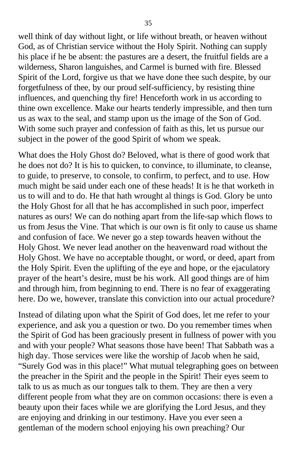well think of day without light, or life without breath, or heaven without God, as of Christian service without the Holy Spirit. Nothing can supply his place if he be absent: the pastures are a desert, the fruitful fields are a wilderness, Sharon languishes, and Carmel is burned with fire. Blessed Spirit of the Lord, forgive us that we have done thee such despite, by our forgetfulness of thee, by our proud self-sufficiency, by resisting thine influences, and quenching thy fire! Henceforth work in us according to thine own excellence. Make our hearts tenderly impressible, and then turn us as wax to the seal, and stamp upon us the image of the Son of God. With some such prayer and confession of faith as this, let us pursue our subject in the power of the good Spirit of whom we speak.

What does the Holy Ghost do? Beloved, what is there of good work that he does not do? It is his to quicken, to convince, to illuminate, to cleanse, to guide, to preserve, to console, to confirm, to perfect, and to use. How much might be said under each one of these heads! It is he that worketh in us to will and to do. He that hath wrought al things is God. Glory be unto the Holy Ghost for all that he has accomplished in such poor, imperfect natures as ours! We can do nothing apart from the life-sap which flows to us from Jesus the Vine. That which is our own is fit only to cause us shame and confusion of face. We never go a step towards heaven without the Holy Ghost. We never lead another on the heavenward road without the Holy Ghost. We have no acceptable thought, or word, or deed, apart from the Holy Spirit. Even the uplifting of the eye and hope, or the ejaculatory prayer of the heart's desire, must be his work. All good things are of him and through him, from beginning to end. There is no fear of exaggerating here. Do we, however, translate this conviction into our actual procedure?

Instead of dilating upon what the Spirit of God does, let me refer to your experience, and ask you a question or two. Do you remember times when the Spirit of God has been graciously present in fullness of power with you and with your people? What seasons those have been! That Sabbath was a high day. Those services were like the worship of Jacob when he said, "Surely God was in this place!" What mutual telegraphing goes on between the preacher in the Spirit and the people in the Spirit! Their eyes seem to talk to us as much as our tongues talk to them. They are then a very different people from what they are on common occasions: there is even a beauty upon their faces while we are glorifying the Lord Jesus, and they are enjoying and drinking in our testimony. Have you ever seen a gentleman of the modern school enjoying his own preaching? Our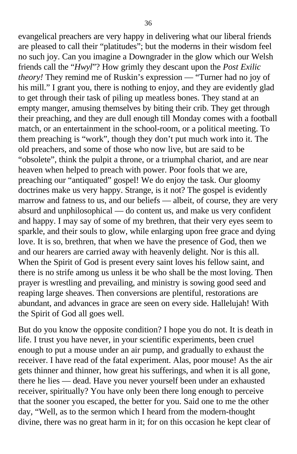evangelical preachers are very happy in delivering what our liberal friends are pleased to call their "platitudes"; but the moderns in their wisdom feel no such joy. Can you imagine a Downgrader in the glow which our Welsh friends call the "*Hwyl*"? How grimly they descant upon the *Post Exilic theory!* They remind me of Ruskin's expression — "Turner had no joy of his mill." I grant you, there is nothing to enjoy, and they are evidently glad to get through their task of piling up meatless bones. They stand at an empty manger, amusing themselves by biting their crib. They get through their preaching, and they are dull enough till Monday comes with a football match, or an entertainment in the school-room, or a political meeting. To them preaching is "work", though they don't put much work into it. The old preachers, and some of those who now live, but are said to be "obsolete", think the pulpit a throne, or a triumphal chariot, and are near heaven when helped to preach with power. Poor fools that we are, preaching our "antiquated" gospel! We do enjoy the task. Our gloomy doctrines make us very happy. Strange, is it not? The gospel is evidently marrow and fatness to us, and our beliefs — albeit, of course, they are very absurd and unphilosophical — do content us, and make us very confident and happy. I may say of some of my brethren, that their very eyes seem to sparkle, and their souls to glow, while enlarging upon free grace and dying love. It is so, brethren, that when we have the presence of God, then we and our hearers are carried away with heavenly delight. Nor is this all. When the Spirit of God is present every saint loves his fellow saint, and there is no strife among us unless it be who shall be the most loving. Then prayer is wrestling and prevailing, and ministry is sowing good seed and reaping large sheaves. Then conversions are plentiful, restorations are abundant, and advances in grace are seen on every side. Hallelujah! With the Spirit of God all goes well.

But do you know the opposite condition? I hope you do not. It is death in life. I trust you have never, in your scientific experiments, been cruel enough to put a mouse under an air pump, and gradually to exhaust the receiver. I have read of the fatal experiment. Alas, poor mouse! As the air gets thinner and thinner, how great his sufferings, and when it is all gone, there he lies — dead. Have you never yourself been under an exhausted receiver, spiritually? You have only been there long enough to perceive that the sooner you escaped, the better for you. Said one to me the other day, "Well, as to the sermon which I heard from the modern-thought divine, there was no great harm in it; for on this occasion he kept clear of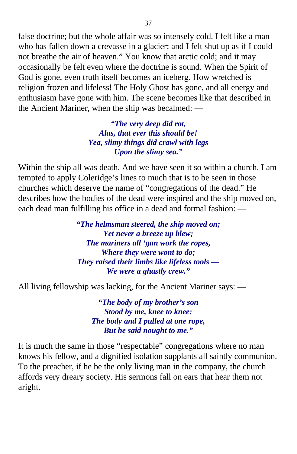false doctrine; but the whole affair was so intensely cold. I felt like a man who has fallen down a crevasse in a glacier: and I felt shut up as if I could not breathe the air of heaven." You know that arctic cold; and it may occasionally be felt even where the doctrine is sound. When the Spirit of God is gone, even truth itself becomes an iceberg. How wretched is religion frozen and lifeless! The Holy Ghost has gone, and all energy and enthusiasm have gone with him. The scene becomes like that described in the Ancient Mariner, when the ship was becalmed: —

## *"The very deep did rot, Alas, that ever this should be! Yea, slimy things did crawl with legs Upon the slimy sea."*

Within the ship all was death. And we have seen it so within a church. I am tempted to apply Coleridge's lines to much that is to be seen in those churches which deserve the name of "congregations of the dead." He describes how the bodies of the dead were inspired and the ship moved on, each dead man fulfilling his office in a dead and formal fashion: —

> *"The helmsman steered, the ship moved on; Yet never a breeze up blew; The mariners all 'gan work the ropes, Where they were wont to do; They raised their limbs like lifeless tools — We were a ghastly crew."*

All living fellowship was lacking, for the Ancient Mariner says: —

*"The body of my brother's son Stood by me, knee to knee: The body and I pulled at one rope, But he said nought to me."*

It is much the same in those "respectable" congregations where no man knows his fellow, and a dignified isolation supplants all saintly communion. To the preacher, if he be the only living man in the company, the church affords very dreary society. His sermons fall on ears that hear them not aright.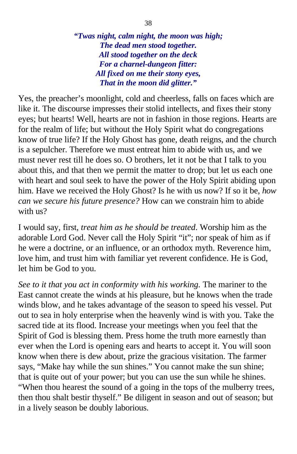*"Twas night, calm night, the moon was high; The dead men stood together. All stood together on the deck For a charnel-dungeon fitter: All fixed on me their stony eyes, That in the moon did glitter."*

Yes, the preacher's moonlight, cold and cheerless, falls on faces which are like it. The discourse impresses their stolid intellects, and fixes their stony eyes; but hearts! Well, hearts are not in fashion in those regions. Hearts are for the realm of life; but without the Holy Spirit what do congregations know of true life? If the Holy Ghost has gone, death reigns, and the church is a sepulcher. Therefore we must entreat him to abide with us, and we must never rest till he does so. O brothers, let it not be that I talk to you about this, and that then we permit the matter to drop; but let us each one with heart and soul seek to have the power of the Holy Spirit abiding upon him. Have we received the Holy Ghost? Is he with us now? If so it be, *how can we secure his future presence?* How can we constrain him to abide with us?

I would say, first, *treat him as he should be treated*. Worship him as the adorable Lord God. Never call the Holy Spirit "it"; nor speak of him as if he were a doctrine, or an influence, or an orthodox myth. Reverence him, love him, and trust him with familiar yet reverent confidence. He is God, let him be God to you.

*See to it that you act in conformity with his working.* The mariner to the East cannot create the winds at his pleasure, but he knows when the trade winds blow, and he takes advantage of the season to speed his vessel. Put out to sea in holy enterprise when the heavenly wind is with you. Take the sacred tide at its flood. Increase your meetings when you feel that the Spirit of God is blessing them. Press home the truth more earnestly than ever when the Lord is opening ears and hearts to accept it. You will soon know when there is dew about, prize the gracious visitation. The farmer says, "Make hay while the sun shines." You cannot make the sun shine; that is quite out of your power; but you can use the sun while he shines. "When thou hearest the sound of a going in the tops of the mulberry trees, then thou shalt bestir thyself." Be diligent in season and out of season; but in a lively season be doubly laborious.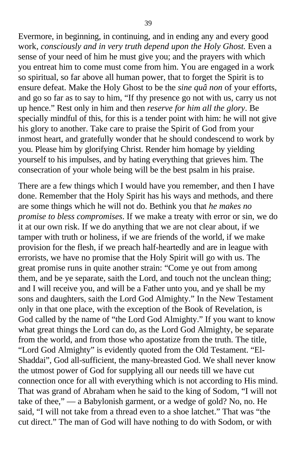Evermore, in beginning, in continuing, and in ending any and every good work, *consciously and in very truth depend upon the Holy Ghost.* Even a sense of your need of him he must give you; and the prayers with which you entreat him to come must come from him. You are engaged in a work so spiritual, so far above all human power, that to forget the Spirit is to ensure defeat. Make the Holy Ghost to be the *sine quâ non* of your efforts, and go so far as to say to him, "If thy presence go not with us, carry us not up hence." Rest only in him and then *reserve for him all the glory*. Be specially mindful of this, for this is a tender point with him: he will not give his glory to another. Take care to praise the Spirit of God from your inmost heart, and gratefully wonder that he should condescend to work by you. Please him by glorifying Christ. Render him homage by yielding yourself to his impulses, and by hating everything that grieves him. The consecration of your whole being will be the best psalm in his praise.

There are a few things which I would have you remember, and then I have done. Remember that the Holy Spirit has his ways and methods, and there are some things which he will not do. Bethink you that *he makes no promise to bless compromises*. If we make a treaty with error or sin, we do it at our own risk. If we do anything that we are not clear about, if we tamper with truth or holiness, if we are friends of the world, if we make provision for the flesh, if we preach half-heartedly and are in league with errorists, we have no promise that the Holy Spirit will go with us. The great promise runs in quite another strain: "Come ye out from among them, and be ye separate, saith the Lord, and touch not the unclean thing; and I will receive you, and will be a Father unto you, and ye shall be my sons and daughters, saith the Lord God Almighty." In the New Testament only in that one place, with the exception of the Book of Revelation, is God called by the name of "the Lord God Almighty." If you want to know what great things the Lord can do, as the Lord God Almighty, be separate from the world, and from those who apostatize from the truth. The title, "Lord God Almighty" is evidently quoted from the Old Testament. "El-Shaddai", God all-sufficient, the many-breasted God. We shall never know the utmost power of God for supplying all our needs till we have cut connection once for all with everything which is not according to His mind. That was grand of Abraham when he said to the king of Sodom, "I will not take of thee," — a Babylonish garment, or a wedge of gold? No, no. He said, "I will not take from a thread even to a shoe latchet." That was "the cut direct." The man of God will have nothing to do with Sodom, or with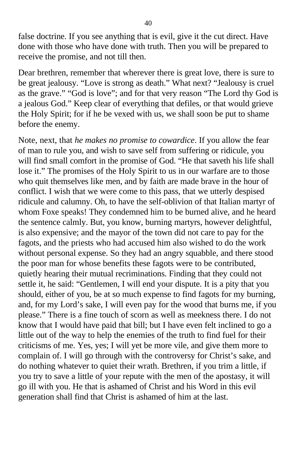false doctrine. If you see anything that is evil, give it the cut direct. Have done with those who have done with truth. Then you will be prepared to receive the promise, and not till then.

Dear brethren, remember that wherever there is great love, there is sure to be great jealousy. "Love is strong as death." What next? "Jealousy is cruel as the grave." "God is love"; and for that very reason "The Lord thy God is a jealous God." Keep clear of everything that defiles, or that would grieve the Holy Spirit; for if he be vexed with us, we shall soon be put to shame before the enemy.

Note, next, that *he makes no promise to cowardice*. If you allow the fear of man to rule you, and wish to save self from suffering or ridicule, you will find small comfort in the promise of God. "He that saveth his life shall lose it." The promises of the Holy Spirit to us in our warfare are to those who quit themselves like men, and by faith are made brave in the hour of conflict. I wish that we were come to this pass, that we utterly despised ridicule and calumny. Oh, to have the self-oblivion of that Italian martyr of whom Foxe speaks! They condemned him to be burned alive, and he heard the sentence calmly. But, you know, burning martyrs, however delightful, is also expensive; and the mayor of the town did not care to pay for the fagots, and the priests who had accused him also wished to do the work without personal expense. So they had an angry squabble, and there stood the poor man for whose benefits these fagots were to be contributed, quietly hearing their mutual recriminations. Finding that they could not settle it, he said: "Gentlemen, I will end your dispute. It is a pity that you should, either of you, be at so much expense to find fagots for my burning, and, for my Lord's sake, I will even pay for the wood that burns me, if you please." There is a fine touch of scorn as well as meekness there. I do not know that I would have paid that bill; but I have even felt inclined to go a little out of the way to help the enemies of the truth to find fuel for their criticisms of me. Yes, yes; I will yet be more vile, and give them more to complain of. I will go through with the controversy for Christ's sake, and do nothing whatever to quiet their wrath. Brethren, if you trim a little, if you try to save a little of your repute with the men of the apostasy, it will go ill with you. He that is ashamed of Christ and his Word in this evil generation shall find that Christ is ashamed of him at the last.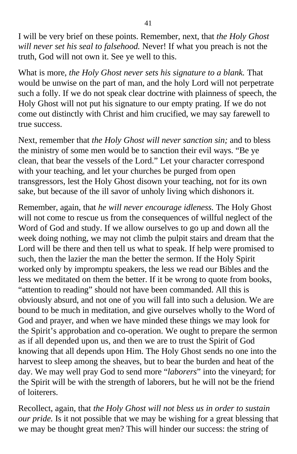I will be very brief on these points. Remember, next, that *the Holy Ghost will never set his seal to falsehood.* Never! If what you preach is not the truth, God will not own it. See ye well to this.

What is more, *the Holy Ghost never sets his signature to a blank.* That would be unwise on the part of man, and the holy Lord will not perpetrate such a folly. If we do not speak clear doctrine with plainness of speech, the Holy Ghost will not put his signature to our empty prating. If we do not come out distinctly with Christ and him crucified, we may say farewell to true success.

Next, remember that *the Holy Ghost will never sanction sin;* and to bless the ministry of some men would be to sanction their evil ways. "Be ye clean, that bear the vessels of the Lord." Let your character correspond with your teaching, and let your churches be purged from open transgressors, lest the Holy Ghost disown your teaching, not for its own sake, but because of the ill savor of unholy living which dishonors it.

Remember, again, that *he will never encourage idleness.* The Holy Ghost will not come to rescue us from the consequences of willful neglect of the Word of God and study. If we allow ourselves to go up and down all the week doing nothing, we may not climb the pulpit stairs and dream that the Lord will be there and then tell us what to speak. If help were promised to such, then the lazier the man the better the sermon. If the Holy Spirit worked only by impromptu speakers, the less we read our Bibles and the less we meditated on them the better. If it be wrong to quote from books, "attention to reading" should not have been commanded. All this is obviously absurd, and not one of you will fall into such a delusion. We are bound to be much in meditation, and give ourselves wholly to the Word of God and prayer, and when we have minded these things we may look for the Spirit's approbation and co-operation. We ought to prepare the sermon as if all depended upon us, and then we are to trust the Spirit of God knowing that all depends upon Him. The Holy Ghost sends no one into the harvest to sleep among the sheaves, but to bear the burden and heat of the day. We may well pray God to send more "*laborers*" into the vineyard; for the Spirit will be with the strength of laborers, but he will not be the friend of loiterers.

Recollect, again, that *the Holy Ghost will not bless us in order to sustain our pride.* Is it not possible that we may be wishing for a great blessing that we may be thought great men? This will hinder our success: the string of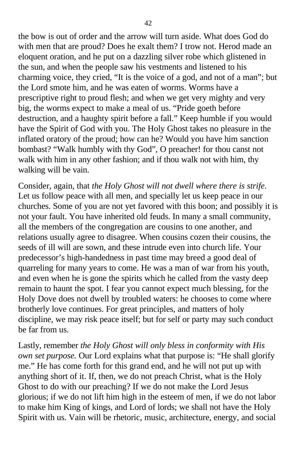the bow is out of order and the arrow will turn aside. What does God do with men that are proud? Does he exalt them? I trow not. Herod made an eloquent oration, and he put on a dazzling silver robe which glistened in the sun, and when the people saw his vestments and listened to his charming voice, they cried, "It is the voice of a god, and not of a man"; but the Lord smote him, and he was eaten of worms. Worms have a prescriptive right to proud flesh; and when we get very mighty and very big, the worms expect to make a meal of us. "Pride goeth before destruction, and a haughty spirit before a fall." Keep humble if you would have the Spirit of God with you. The Holy Ghost takes no pleasure in the inflated oratory of the proud; how can he? Would you have him sanction bombast? "Walk humbly with thy God", O preacher! for thou canst not walk with him in any other fashion; and if thou walk not with him, thy walking will be vain.

Consider, again, that *the Holy Ghost will not dwell where there is strife*. Let us follow peace with all men, and specially let us keep peace in our churches. Some of you are not yet favored with this boon; and possibly it is not your fault. You have inherited old feuds. In many a small community, all the members of the congregation are cousins to one another, and relations usually agree to disagree. When cousins cozen their cousins, the seeds of ill will are sown, and these intrude even into church life. Your predecessor's high-handedness in past time may breed a good deal of quarreling for many years to come. He was a man of war from his youth, and even when he is gone the spirits which he called from the vasty deep remain to haunt the spot. I fear you cannot expect much blessing, for the Holy Dove does not dwell by troubled waters: he chooses to come where brotherly love continues. For great principles, and matters of holy discipline, we may risk peace itself; but for self or party may such conduct be far from us.

Lastly, remember *the Holy Ghost will only bless in conformity with His own set purpose.* Our Lord explains what that purpose is: "He shall glorify me." He has come forth for this grand end, and he will not put up with anything short of it. If, then, we do not preach Christ, what is the Holy Ghost to do with our preaching? If we do not make the Lord Jesus glorious; if we do not lift him high in the esteem of men, if we do not labor to make him King of kings, and Lord of lords; we shall not have the Holy Spirit with us. Vain will be rhetoric, music, architecture, energy, and social